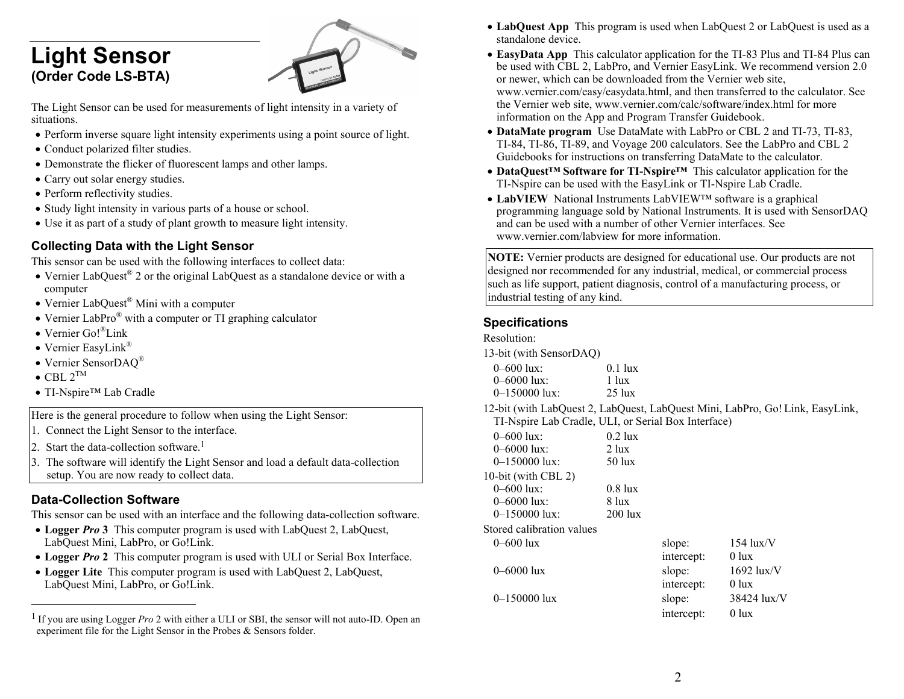# **Light Sensor (Order Code LS-BTA)**



The Light Sensor can be used for measurements of light intensity in a variety of situations.

- Perform inverse square light intensity experiments using a point source of light.
- Conduct polarized filter studies.
- Demonstrate the flicker of fluorescent lamps and other lamps.
- Carry out solar energy studies.
- Perform reflectivity studies.
- Study light intensity in various parts of a house or school.
- Use it as part of a study of plant growth to measure light intensity.

# **Collecting Data with the Light Sensor**

This sensor can be used with the following interfaces to collect data:

- Vernier LabQuest<sup>®</sup> 2 or the original LabQuest as a standalone device or with a computer
- Vernier LabQuest<sup>®</sup> Mini with a computer
- Vernier LabPro<sup>®</sup> with a computer or TI graphing calculator
- Vernier Go!<sup>®</sup>Link
- Vernier EasyLink®
- Vernier SensorDAQ®
- $\bullet$  CBL  $2^{\texttt{TM}}$
- TI-Nspire<sup>™</sup> Lab Cradle

Here is the general procedure to follow when using the Light Sensor:

- 1. Connect the Light Sensor to the interface.
- 2. Start the data-collection software.<sup>1</sup>
- 3. The software will identify the Light Sensor and load a default data-collection setup. You are now ready to collect data.

## **Data-Collection Software**

This sensor can be used with an interface and the following data-collection software.

- Logger *Pro* 3 This computer program is used with LabQuest 2, LabQuest, LabQuest Mini, LabPro, or Go!Link.
- **Logger** *Pro* **2** This computer program is used with ULI or Serial Box Interface.
- Logger Lite This computer program is used with LabQuest 2, LabQuest, LabQuest Mini, LabPro, or Go!Link.
- **LabQuest App** This program is used when LabQuest 2 or LabQuest is used as a standalone device.
- **EasyData App** This calculator application for the TI-83 Plus and TI-84 Plus can be used with CBL 2, LabPro, and Vernier EasyLink. We recommend version 2.0 or newer, which can be downloaded from the Vernier web site, www.vernier.com/easy/easydata.html, and then transferred to the calculator. See the Vernier web site, www.vernier.com/calc/software/index.html for more information on the App and Program Transfer Guidebook.
- **DataMate program** Use DataMate with LabPro or CBL 2 and TI-73, TI-83, TI-84, TI-86, TI-89, and Voyage 200 calculators. See the LabPro and CBL 2 Guidebooks for instructions on transferring DataMate to the calculator.
- **DataQuest™ Software for TI-Nspire™** This calculator application for the TI-Nspire can be used with the EasyLink or TI-Nspire Lab Cradle.
- **LabVIEW** National Instruments LabVIEW™ software is a graphical programming language sold by National Instruments. It is used with SensorDAQ and can be used with a number of other Vernier interfaces. See www.vernier.com/labview for more information.

**NOTE:** Vernier products are designed for educational use. Our products are not designed nor recommended for any industrial, medical, or commercial process such as life support, patient diagnosis, control of a manufacturing process, or industrial testing of any kind.

#### **Specifications**

| Resolution: |
|-------------|
|-------------|

13-bit (with SensorDAQ)

| 0–600 lux:    | $0.1$ lux        |
|---------------|------------------|
| 0–6000 lux:   | 1 lux            |
| 0–150000 lux: | $25 \text{ lux}$ |

12-bit (with LabQuest 2, LabQuest, LabQuest Mini, LabPro, Go!Link, EasyLink, TI-Nspire Lab Cradle, ULI, or Serial Box Interface)

| $0 - 600$ lux:            | $0.2$ lux        |
|---------------------------|------------------|
| $0 - 6000$ lux:           | $2 \text{ lux}$  |
| $0 - 150000$ lux:         | $50 \text{ lux}$ |
| 10-bit (with CBL 2)       |                  |
| $0 - 600$ lux:            | $0.8$ lux        |
| $0 - 6000$ lux:           | 8 lux            |
| $0 - 150000$ lux:         | $200$ lux        |
| ممياسية وبمنابسا الممالية |                  |

Stored calibration values

| 0–600 lux    | slope:     | $154$ $lux/V$ |
|--------------|------------|---------------|
|              | intercept: | $0$ lux       |
| 0–6000 lux   | slope:     | $1692$ lux/V  |
|              | intercept: | $0$ lux       |
| 0-150000 lux | slope:     | 38424 lux/V   |
|              | intercept: | $0$ lux       |

<sup>1</sup> If you are using Logger *Pro* 2 with either a ULI or SBI, the sensor will not auto-ID. Open an experiment file for the Light Sensor in the Probes & Sensors folder.